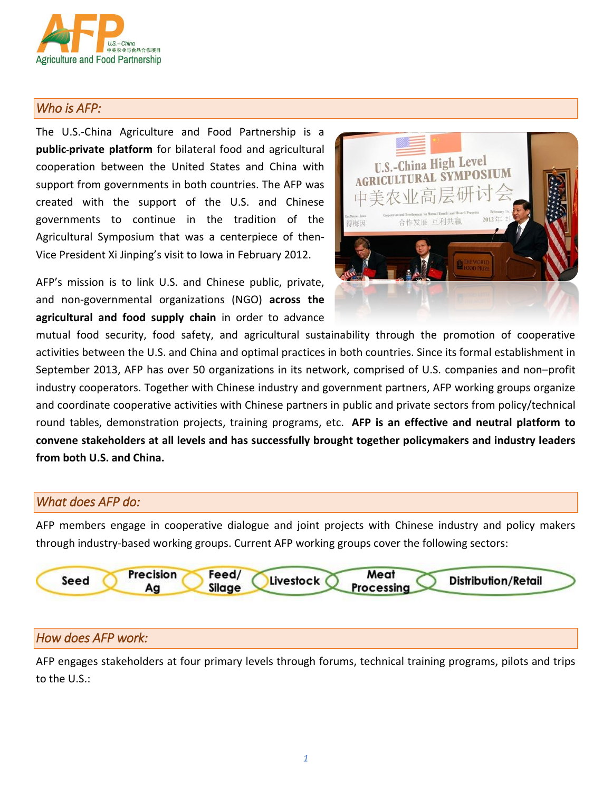

## *Who is AFP:*

The U.S.-China Agriculture and Food Partnership is a **public-private platform** for bilateral food and agricultural cooperation between the United States and China with support from governments in both countries. The AFP was created with the support of the U.S. and Chinese governments to continue in the tradition of the Agricultural Symposium that was a centerpiece of then-Vice President Xi Jinping's visit to Iowa in February 2012.

AFP's mission is to link U.S. and Chinese public, private, and non-governmental organizations (NGO) **across the agricultural and food supply chain** in order to advance



mutual food security, food safety, and agricultural sustainability through the promotion of cooperative activities between the U.S. and China and optimal practices in both countries. Since its formal establishment in September 2013, AFP has over 50 organizations in its network, comprised of U.S. companies and non–profit industry cooperators. Together with Chinese industry and government partners, AFP working groups organize and coordinate cooperative activities with Chinese partners in public and private sectors from policy/technical round tables, demonstration projects, training programs, etc. **AFP is an effective and neutral platform to convene stakeholders at all levels and has successfully brought together policymakers and industry leaders from both U.S. and China.**

### *What does AFP do:*

AFP members engage in cooperative dialogue and joint projects with Chinese industry and policy makers through industry-based working groups. Current AFP working groups cover the following sectors:



## *How does AFP work:*

AFP engages stakeholders at four primary levels through forums, technical training programs, pilots and trips to the U.S.: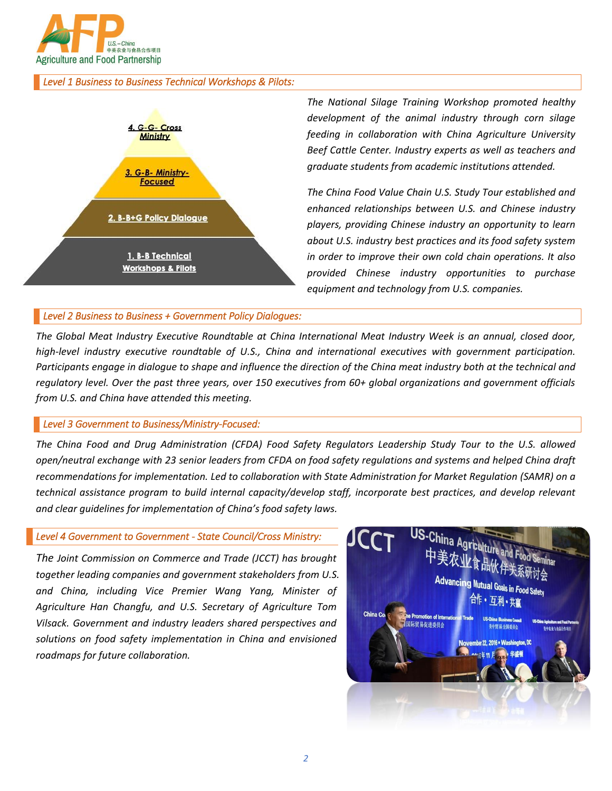

#### *Level 1 Business to Business Technical Workshops & Pilots:*



*The National Silage Training Workshop promoted healthy development of the animal industry through corn silage feeding in collaboration with China Agriculture University Beef Cattle Center. Industry experts as well as teachers and graduate students from academic institutions attended.* 

*The China Food Value Chain U.S. Study Tour established and enhanced relationships between U.S. and Chinese industry players, providing Chinese industry an opportunity to learn about U.S. industry best practices and its food safety system in order to improve their own cold chain operations. It also provided Chinese industry opportunities to purchase equipment and technology from U.S. companies.*

#### *Level 2 Business to Business + Government Policy Dialogues:*

*The Global Meat Industry Executive Roundtable at China International Meat Industry Week is an annual, closed door, high-level industry executive roundtable of U.S., China and international executives with government participation. Participants engage in dialogue to shape and influence the direction of the China meat industry both at the technical and regulatory level. Over the past three years, over 150 executives from 60+ global organizations and government officials from U.S. and China have attended this meeting.* 

#### *Level 3 Government to Business/Ministry-Focused:*

*The China Food and Drug Administration (CFDA) Food Safety Regulators Leadership Study Tour to the U.S. allowed open/neutral exchange with 23 senior leaders from CFDA on food safety regulations and systems and helped China draft recommendations for implementation. Led to collaboration with State Administration for Market Regulation (SAMR) on a technical assistance program to build internal capacity/develop staff, incorporate best practices, and develop relevant and clear guidelines for implementation of China's food safety laws.* 

#### *Level 4 Government to Government - State Council/Cross Ministry:*

*The Joint Commission on Commerce and Trade (JCCT) has brought together leading companies and government stakeholders from U.S. and China, including Vice Premier Wang Yang, Minister of Agriculture Han Changfu, and U.S. Secretary of Agriculture Tom Vilsack. Government and industry leaders shared perspectives and solutions on food safety implementation in China and envisioned roadmaps for future collaboration.*